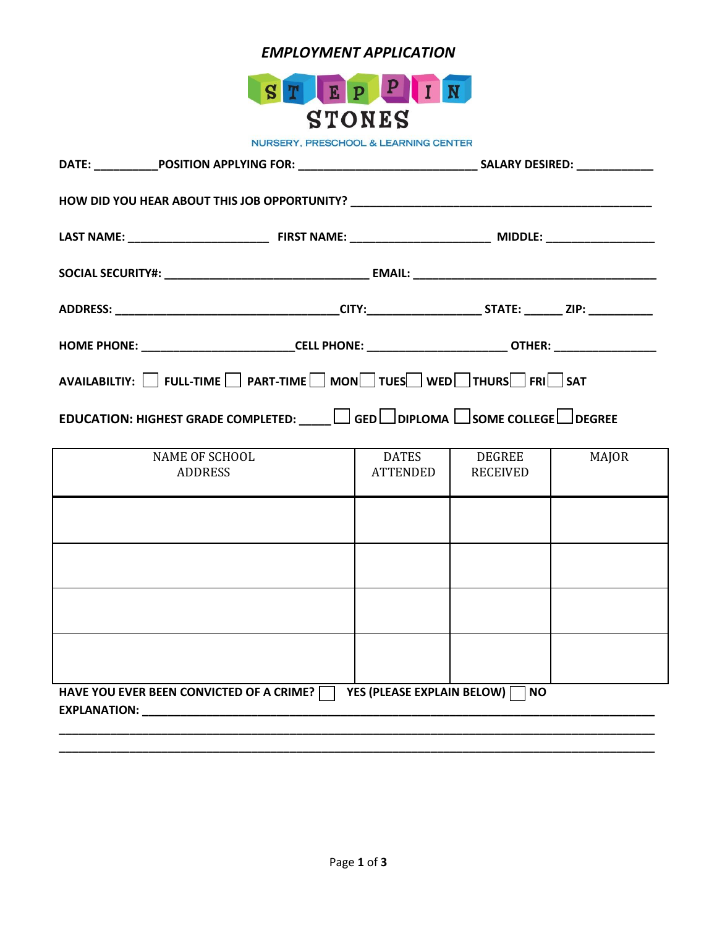# *EMPLOYMENT APPLICATION*



**NURSERY, PRESCHOOL & LEARNING CENTER** 

| HOME PHONE: _____________________________CELL PHONE: _________________________OTHER: ____________________ |                          |                                  |              |
|-----------------------------------------------------------------------------------------------------------|--------------------------|----------------------------------|--------------|
| AVAILABILTIY: SULL-TIME PART-TIME MON TUES WED THURS FRIESAT                                              |                          |                                  |              |
| EDUCATION: HIGHEST GRADE COMPLETED: $\Box$ GED DIPLOMA SOME COLLEGE DEGREE                                |                          |                                  |              |
| <b>NAME OF SCHOOL</b><br><b>ADDRESS</b>                                                                   | <b>DATES</b><br>ATTENDED | <b>DEGREE</b><br><b>RECEIVED</b> | <b>MAJOR</b> |
|                                                                                                           |                          |                                  |              |
|                                                                                                           |                          |                                  |              |
|                                                                                                           |                          |                                  |              |
|                                                                                                           |                          |                                  |              |
| HAVE YOU EVER BEEN CONVICTED OF A CRIME? YES (PLEASE EXPLAIN BELOW) NO                                    |                          |                                  |              |

**\_\_\_\_\_\_\_\_\_\_\_\_\_\_\_\_\_\_\_\_\_\_\_\_\_\_\_\_\_\_\_\_\_\_\_\_\_\_\_\_\_\_\_\_\_\_\_\_\_\_\_\_\_\_\_\_\_\_\_\_\_\_\_\_\_\_\_\_\_\_\_\_\_\_\_\_\_\_\_\_\_\_\_\_\_\_\_\_\_\_\_\_\_**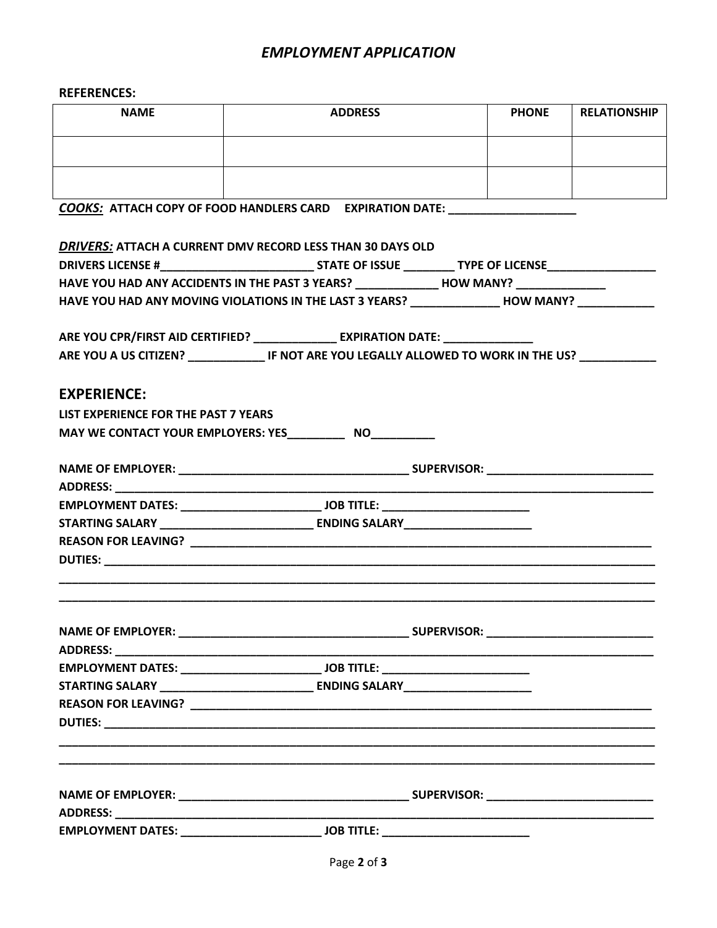## *EMPLOYMENT APPLICATION*

### **REFERENCES:**

| <b>NAME</b> | <b>ADDRESS</b> | <b>PHONE</b> | <b>RELATIONSHIP</b> |
|-------------|----------------|--------------|---------------------|
|             |                |              |                     |
|             |                |              |                     |

*COOKS:* **ATTACH COPY OF FOOD HANDLERS CARD EXPIRATION DATE: \_\_\_\_\_\_\_\_\_\_\_\_\_\_\_\_\_\_\_\_**

| HAVE YOU HAD ANY ACCIDENTS IN THE PAST 3 YEARS? _______________ HOW MANY? ____________<br>HAVE YOU HAD ANY MOVING VIOLATIONS IN THE LAST 3 YEARS? _______________HOW MANY? __________<br>ARE YOU CPR/FIRST AID CERTIFIED? _______________ EXPIRATION DATE: ______________<br>ARE YOU A US CITIZEN? ________________ IF NOT ARE YOU LEGALLY ALLOWED TO WORK IN THE US?<br><b>EXPERIENCE:</b><br>LIST EXPERIENCE FOR THE PAST 7 YEARS<br>MAY WE CONTACT YOUR EMPLOYERS: YES______________ NO____________<br>ADDRESS: New York Products and Parties and Parties and Parties and Parties and Parties and Parties and Parties<br>STARTING SALARY _________________________________ ENDING SALARY_________________ | DRIVERS: ATTACH A CURRENT DMV RECORD LESS THAN 30 DAYS OLD |  |
|--------------------------------------------------------------------------------------------------------------------------------------------------------------------------------------------------------------------------------------------------------------------------------------------------------------------------------------------------------------------------------------------------------------------------------------------------------------------------------------------------------------------------------------------------------------------------------------------------------------------------------------------------------------------------------------------------------------|------------------------------------------------------------|--|
|                                                                                                                                                                                                                                                                                                                                                                                                                                                                                                                                                                                                                                                                                                              |                                                            |  |
|                                                                                                                                                                                                                                                                                                                                                                                                                                                                                                                                                                                                                                                                                                              |                                                            |  |
|                                                                                                                                                                                                                                                                                                                                                                                                                                                                                                                                                                                                                                                                                                              |                                                            |  |
|                                                                                                                                                                                                                                                                                                                                                                                                                                                                                                                                                                                                                                                                                                              |                                                            |  |
|                                                                                                                                                                                                                                                                                                                                                                                                                                                                                                                                                                                                                                                                                                              |                                                            |  |
|                                                                                                                                                                                                                                                                                                                                                                                                                                                                                                                                                                                                                                                                                                              |                                                            |  |
|                                                                                                                                                                                                                                                                                                                                                                                                                                                                                                                                                                                                                                                                                                              |                                                            |  |
|                                                                                                                                                                                                                                                                                                                                                                                                                                                                                                                                                                                                                                                                                                              |                                                            |  |
|                                                                                                                                                                                                                                                                                                                                                                                                                                                                                                                                                                                                                                                                                                              |                                                            |  |
|                                                                                                                                                                                                                                                                                                                                                                                                                                                                                                                                                                                                                                                                                                              |                                                            |  |
|                                                                                                                                                                                                                                                                                                                                                                                                                                                                                                                                                                                                                                                                                                              |                                                            |  |
|                                                                                                                                                                                                                                                                                                                                                                                                                                                                                                                                                                                                                                                                                                              |                                                            |  |
|                                                                                                                                                                                                                                                                                                                                                                                                                                                                                                                                                                                                                                                                                                              |                                                            |  |
|                                                                                                                                                                                                                                                                                                                                                                                                                                                                                                                                                                                                                                                                                                              |                                                            |  |
|                                                                                                                                                                                                                                                                                                                                                                                                                                                                                                                                                                                                                                                                                                              |                                                            |  |
|                                                                                                                                                                                                                                                                                                                                                                                                                                                                                                                                                                                                                                                                                                              |                                                            |  |
|                                                                                                                                                                                                                                                                                                                                                                                                                                                                                                                                                                                                                                                                                                              |                                                            |  |
|                                                                                                                                                                                                                                                                                                                                                                                                                                                                                                                                                                                                                                                                                                              |                                                            |  |
|                                                                                                                                                                                                                                                                                                                                                                                                                                                                                                                                                                                                                                                                                                              |                                                            |  |
|                                                                                                                                                                                                                                                                                                                                                                                                                                                                                                                                                                                                                                                                                                              |                                                            |  |
|                                                                                                                                                                                                                                                                                                                                                                                                                                                                                                                                                                                                                                                                                                              |                                                            |  |
|                                                                                                                                                                                                                                                                                                                                                                                                                                                                                                                                                                                                                                                                                                              |                                                            |  |
|                                                                                                                                                                                                                                                                                                                                                                                                                                                                                                                                                                                                                                                                                                              |                                                            |  |
|                                                                                                                                                                                                                                                                                                                                                                                                                                                                                                                                                                                                                                                                                                              |                                                            |  |
|                                                                                                                                                                                                                                                                                                                                                                                                                                                                                                                                                                                                                                                                                                              |                                                            |  |
|                                                                                                                                                                                                                                                                                                                                                                                                                                                                                                                                                                                                                                                                                                              |                                                            |  |
|                                                                                                                                                                                                                                                                                                                                                                                                                                                                                                                                                                                                                                                                                                              |                                                            |  |
|                                                                                                                                                                                                                                                                                                                                                                                                                                                                                                                                                                                                                                                                                                              |                                                            |  |
|                                                                                                                                                                                                                                                                                                                                                                                                                                                                                                                                                                                                                                                                                                              |                                                            |  |